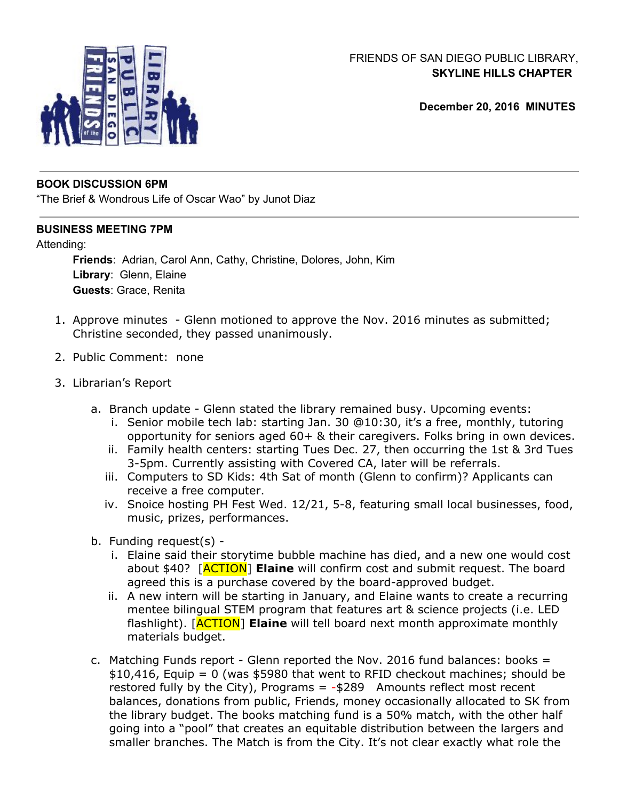

# FRIENDS OF SAN DIEGO PUBLIC LIBRARY, **SKYLINE HILLS CHAPTER**

**December 20, 2016 MINUTES**

### **BOOK DISCUSSION 6PM**

"The Brief & Wondrous Life of Oscar Wao" by Junot Diaz

### **BUSINESS MEETING 7PM**

### Attending:

**Friends**: Adrian, Carol Ann, Cathy, Christine, Dolores, John, Kim **Library**: Glenn, Elaine **Guests**: Grace, Renita

- 1. Approve minutes Glenn motioned to approve the Nov. 2016 minutes as submitted; Christine seconded, they passed unanimously.
- 2. Public Comment: none
- 3. Librarian's Report
	- a. Branch update Glenn stated the library remained busy. Upcoming events:
		- i. Senior mobile tech lab: starting Jan. 30 @10:30, it's a free, monthly, tutoring opportunity for seniors aged 60+ & their caregivers. Folks bring in own devices.
		- ii. Family health centers: starting Tues Dec. 27, then occurring the 1st & 3rd Tues 3-5pm. Currently assisting with Covered CA, later will be referrals.
		- iii. Computers to SD Kids: 4th Sat of month (Glenn to confirm)? Applicants can receive a free computer.
		- iv. Snoice hosting PH Fest Wed. 12/21, 5-8, featuring small local businesses, food, music, prizes, performances.
	- b. Funding request(s)
		- i. Elaine said their storytime bubble machine has died, and a new one would cost about \$40? [ACTION] **Elaine** will confirm cost and submit request. The board agreed this is a purchase covered by the board-approved budget.
		- ii. A new intern will be starting in January, and Elaine wants to create a recurring mentee bilingual STEM program that features art & science projects (i.e. LED flashlight). [ACTION] **Elaine** will tell board next month approximate monthly materials budget.
	- c. Matching Funds report Glenn reported the Nov. 2016 fund balances: books = \$10,416, Equip = 0 (was \$5980 that went to RFID checkout machines; should be restored fully by the City), Programs  $= -\frac{1}{2}$ 89 Amounts reflect most recent balances, donations from public, Friends, money occasionally allocated to SK from the library budget. The books matching fund is a 50% match, with the other half going into a "pool" that creates an equitable distribution between the largers and smaller branches. The Match is from the City. It's not clear exactly what role the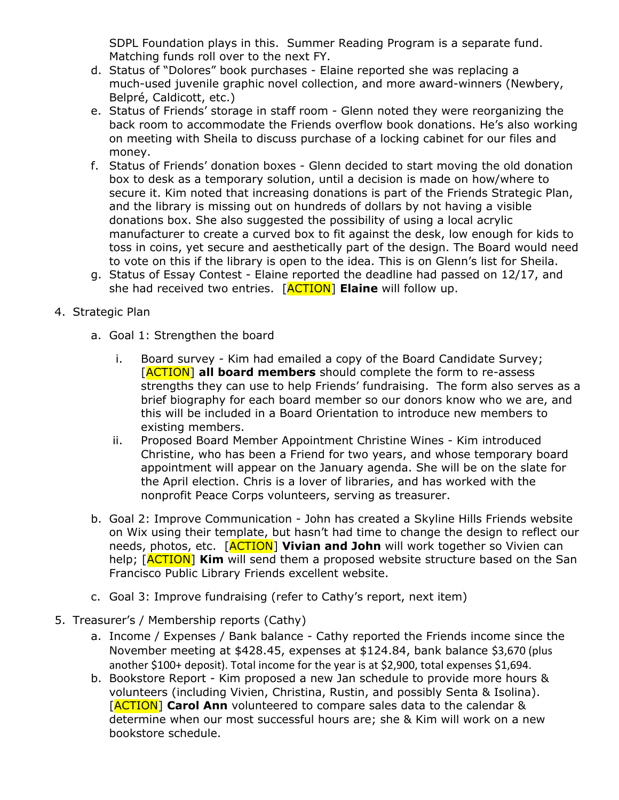SDPL Foundation plays in this. Summer Reading Program is a separate fund. Matching funds roll over to the next FY.

- d. Status of "Dolores" book purchases Elaine reported she was replacing a much-used juvenile graphic novel collection, and more award-winners (Newbery, Belpré, Caldicott, etc.)
- e. Status of Friends' storage in staff room Glenn noted they were reorganizing the back room to accommodate the Friends overflow book donations. He's also working on meeting with Sheila to discuss purchase of a locking cabinet for our files and money.
- f. Status of Friends' donation boxes Glenn decided to start moving the old donation box to desk as a temporary solution, until a decision is made on how/where to secure it. Kim noted that increasing donations is part of the Friends Strategic Plan, and the library is missing out on hundreds of dollars by not having a visible donations box. She also suggested the possibility of using a local acrylic manufacturer to create a curved box to fit against the desk, low enough for kids to toss in coins, yet secure and aesthetically part of the design. The Board would need to vote on this if the library is open to the idea. This is on Glenn's list for Sheila.
- g. Status of Essay Contest Elaine reported the deadline had passed on 12/17, and she had received two entries. [ACTION] **Elaine** will follow up.
- 4. Strategic Plan
	- a. Goal 1: Strengthen the board
		- i. Board survey Kim had emailed a copy of the Board Candidate Survey; [ACTION] **all board members** should complete the form to re-assess strengths they can use to help Friends' fundraising. The form also serves as a brief biography for each board member so our donors know who we are, and this will be included in a Board Orientation to introduce new members to existing members.
		- ii. Proposed Board Member Appointment Christine Wines Kim introduced Christine, who has been a Friend for two years, and whose temporary board appointment will appear on the January agenda. She will be on the slate for the April election. Chris is a lover of libraries, and has worked with the nonprofit Peace Corps volunteers, serving as treasurer.
	- b. Goal 2: Improve Communication John has created a Skyline Hills Friends website on Wix using their template, but hasn't had time to change the design to reflect our needs, photos, etc. [ACTION] **Vivian and John** will work together so Vivien can help; [ACTION] **Kim** will send them a proposed website structure based on the San Francisco Public Library Friends excellent website.
	- c. Goal 3: Improve fundraising (refer to Cathy's report, next item)
- 5. Treasurer's / Membership reports (Cathy)
	- a. Income / Expenses / Bank balance Cathy reported the Friends income since the November meeting at \$428.45, expenses at \$124.84, bank balance \$3,670 (plus another \$100+ deposit). Total income for the year is at \$2,900, total expenses \$1,694.
	- b. Bookstore Report Kim proposed a new Jan schedule to provide more hours & volunteers (including Vivien, Christina, Rustin, and possibly Senta & Isolina). [ACTION] **Carol Ann** volunteered to compare sales data to the calendar & determine when our most successful hours are; she & Kim will work on a new bookstore schedule.